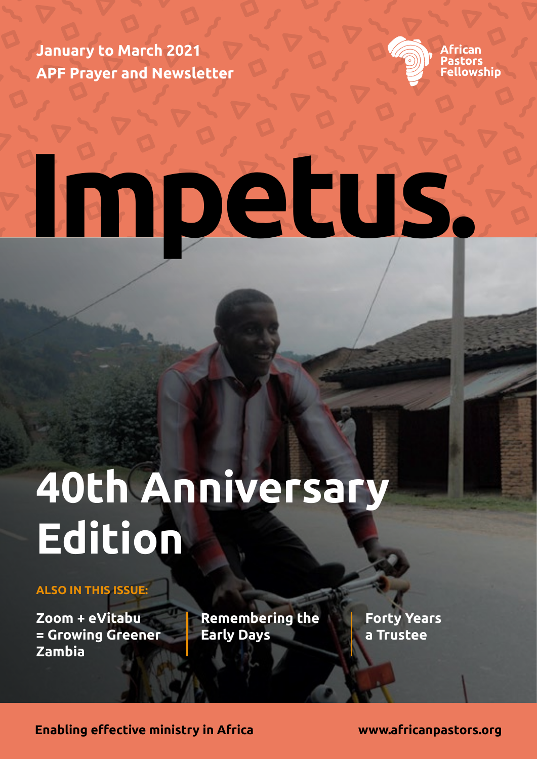**January to March 2021 APF Prayer and Newsletter**



**African** astors llowship!

# **Impetus.**

## **40th Anniversary Edition**

### **ALSO IN THIS ISSUE:**

**Zoom + eVitabu = Growing Greener Zambia**

**Remembering the Early Days**

**Forty Years a Trustee**

**Enabling effective ministry in Africa www.africanpastors.org**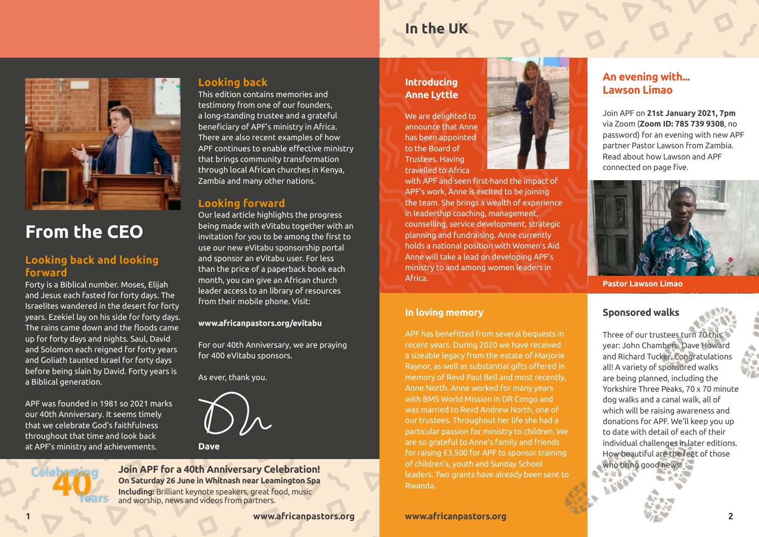### **In the UK**



### **From the CEO**

### **Looking back and looking forward**

Forty is a Biblical number. Moses, Elijah and Jesus each fasted for forty days. The Israelites wandered in the desert for forty years. Ezekiel lay on his side for forty days. The rains came down and the floods came up for forty days and nights. Saul, David and Solomon each reigned for forty years and Goliath taunted Israel for forty days before being slain by David. Forty years is a Biblical generation.

APF was founded in 1981 so 2021 marks our 40th Anniversary. It seems timely that we celebrate God's faithfulness throughout that time and look back at APF's ministry and achievements.

### **Looking back**

This edition contains memories and testimony from one of our founders, a long-standing trustee and a grateful beneficiary of APF's ministry in Africa. There are also recent examples of how APF continues to enable effective ministry that brings community transformation through local African churches in Kenya, Zambia and many other nations.

### **Looking forward**

Our lead article highlights the progress being made with eVitabu together with an invitation for you to be among the first to use our new eVitabu sponsorship portal and sponsor an eVitabu user. For less than the price of a paperback book each month, you can give an African church leader access to an library of resources from their mobile phone. Visit:

### **www.africanpastors.org/evitabu**

For our 40th Anniversary, we are praying for 400 eVitabu sponsors.

As ever, thank you.



**Join APF for a 40th Anniversary Celebration! On Saturday 26 June in Whitnash near Leamington Spa Including:** Brilliant keynote speakers, great food, music and worship, news and videos from partners.

### **Introducing Anne Lyttle**

We are delighted to announce that Anne has been appointed to the Board of Trustees. Having travelled to Africa

with APF and seen first-hand the impact of APF's work, Anne is excited to be joining the team. She brings a wealth of experience in leadership coaching, management, counselling, service development, strategic planning and fundraising. Anne currently holds a national position with Women's Aid. Anne will take a lead on developing APF's ministry to and among women leaders in Africa.

### **In loving memory**

APF has benefitted from several bequests in recent years. During 2020 we have received a sizeable legacy from the estate of Marjorie Raynor, as well as substantial gifts offered in memory of Revd Paul Bell and most recently, Anne North. Anne worked for many years with BMS World Mission in DR Congo and was married to Revd Andrew North, one of our trustees. Throughout her life she had a particular passion for ministry to children. We are so grateful to Anne's family and friends for raising £3,500 for APF to sponsor training of children's, youth and Sunday School leaders. Two grants have already been sent to Rwanda.



Join APF on **21st January 2021, 7pm** via Zoom (**Zoom ID: 785 739 9308**, no password) for an evening with new APF partner Pastor Lawson from Zambia. Read about how Lawson and APF connected on page five.



**Pastor Lawson Limao**

### **Sponsored walks**

Three of our trustees turn 70 this year: John Chambers, Dave Howard and Richard Tucker. Congratulations all! A variety of sponsored walks are being planned, including the Yorkshire Three Peaks, 70 x 70 minute dog walks and a canal walk, all of which will be raising awareness and donations for APF. We'll keep you up to date with detail of each of their individual challenges in later editions. How beautiful are the feet of those who bring good news!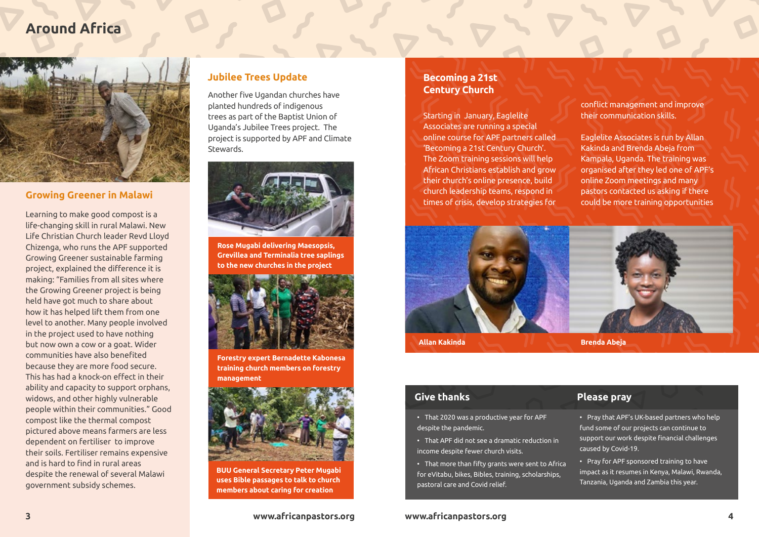### **Around Africa**



### **Growing Greener in Malawi**

Learning to make good compost is a life-changing skill in rural Malawi. New Life Christian Church leader Revd Lloyd Chizenga, who runs the APF supported Growing Greener sustainable farming project, explained the difference it is making: "Families from all sites where the Growing Greener project is being held have got much to share about how it has helped lift them from one level to another. Many people involved in the project used to have nothing but now own a cow or a goat. Wider communities have also benefited because they are more food secure. This has had a knock-on effect in their ability and capacity to support orphans, widows, and other highly vulnerable people within their communities." Good compost like the thermal compost pictured above means farmers are less dependent on fertiliser to improve their soils. Fertiliser remains expensive and is hard to find in rural areas despite the renewal of several Malawi government subsidy schemes.

### **Jubilee Trees Update**

**Century Church** Another five Ugandan churches have planted hundreds of indigenous trees as part of the Baptist Union of Uganda's Jubilee Trees project. The project is supported by APF and Climate Stewards.



**Rose Mugabi delivering Maesopsis, Grevillea and Terminalia tree saplings to the new churches in the project**



**Forestry expert Bernadette Kabonesa training church members on forestry management**



**BUU General Secretary Peter Mugabi uses Bible passages to talk to church members about caring for creation**

### **3 www.africanpastors.org www.africanpastors.org**

## **Becoming a 21st**

Starting in January, Eaglelite Associates are running a special online course for APF partners called 'Becoming a 21st Century Church'. The Zoom training sessions will help African Christians establish and grow their church's online presence, build church leadership teams, respond in times of crisis, develop strategies for

conflict management and improve their communication skills.

Eaglelite Associates is run by Allan Kakinda and Brenda Abeja from Kampala, Uganda. The training was organised after they led one of APF's online Zoom meetings and many pastors contacted us asking if there could be more training opportunities



### **Give thanks**

• That 2020 was a productive year for APF despite the pandemic.

- That APF did not see a dramatic reduction in income despite fewer church visits.
- That more than fifty grants were sent to Africa for eVitabu, bikes, Bibles, training, scholarships, pastoral care and Covid relief.

### **Please pray**

• Pray that APF's UK-based partners who help fund some of our projects can continue to support our work despite financial challenges caused by Covid-19.

• Pray for APF sponsored training to have impact as it resumes in Kenya, Malawi, Rwanda, Tanzania, Uganda and Zambia this year.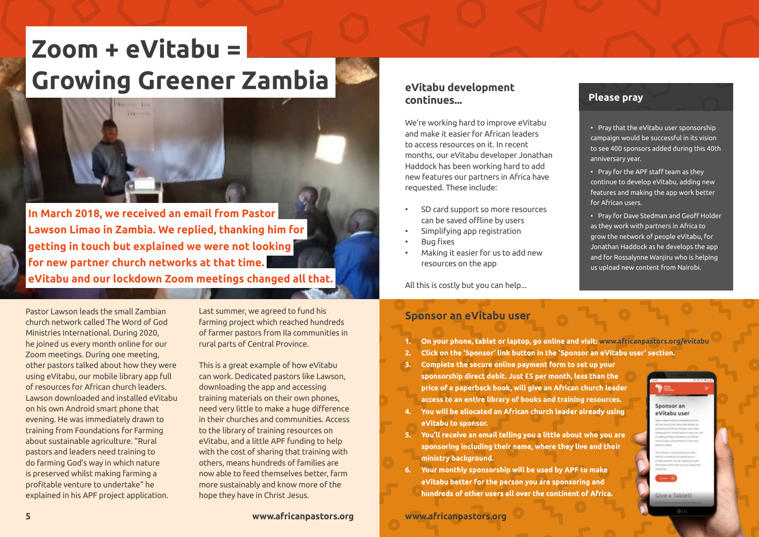## **Zoom + eVitabu = Growing Greener Zambia Please pray** evitabu development



 **In March 2018, we received an email from Pastor Lawson Limao in Zambia. We replied, thanking him for getting in touch but explained we were not looking for new partner church networks at that time. eVitabu and our lockdown Zoom meetings changed all that.** 

Pastor Lawson leads the small Zambian church network called The Word of God Ministries International. During 2020, he joined us every month online for our Zoom meetings. During one meeting, other pastors talked about how they were using eVitabu, our mobile library app full of resources for African church leaders. Lawson downloaded and installed eVitabu on his own Android smart phone that evening. He was immediately drawn to training from Foundations for Farming about sustainable agriculture. "Rural pastors and leaders need training to do farming God's way in which nature is preserved whilst making farming a profitable venture to undertake" he explained in his APF project application.

Last summer, we agreed to fund his farming project which reached hundreds of farmer pastors from Ila communities in rural parts of Central Province.

This is a great example of how eVitabu can work. Dedicated pastors like Lawson, downloading the app and accessing training materials on their own phones, need very little to make a huge difference in their churches and communities. Access to the library of training resources on eVitabu, and a little APF funding to help with the cost of sharing that training with others, means hundreds of families are now able to feed themselves better, farm more sustainably and know more of the hope they have in Christ Jesus.

### We're working hard to improve eVitabu and make it easier for African leaders

**continues...**

to access resources on it. In recent months, our eVitabu developer Jonathan Haddock has been working hard to add new features our partners in Africa have requested. These include:

- SD card support so more resources can be saved offline by users
- Simplifying app registration

**eVitabu development** 

- **Bug fixes**
- Making it easier for us to add new resources on the app

All this is costly but you can help...

• Pray that the eVitabu user sponsorship campaign would be successful in its vision to see 400 sponsors added during this 40th anniversary year.

• Pray for the APF staff team as they continue to develop eVitabu, adding new features and making the app work better for African users.

• Pray for Dave Stedman and Geoff Holder as they work with partners in Africa to grow the network of people eVitabu, for Jonathan Haddock as he develops the app and for Rossalynne Wanjiru who is helping us upload new content from Nairobi.

### **Sponsor an eVitabu user**

- **1. On your phone, tablet or laptop, go online and visit: www.africanpastors.org/evitabu**
- **2. Click on the 'Sponsor' link button in the 'Sponsor an eVitabu user' section.**
- **3. Complete the secure online payment form to set up your sponsorship direct debit. Just £5 per month, less than the price of a paperback book, will give an African church leader access to an entire library of books and training resources.**
- **4. You will be allocated an African church leader already using eVitabu to sponsor.**
- **5. You'll receive an email telling you a little about who you are sponsoring including their name, where they live and their ministry background.**
- **6. Your monthly sponsorship will be used by APF to make eVitabu better for the person you are sponsoring and hundreds of other users all over the continent of Africa.**

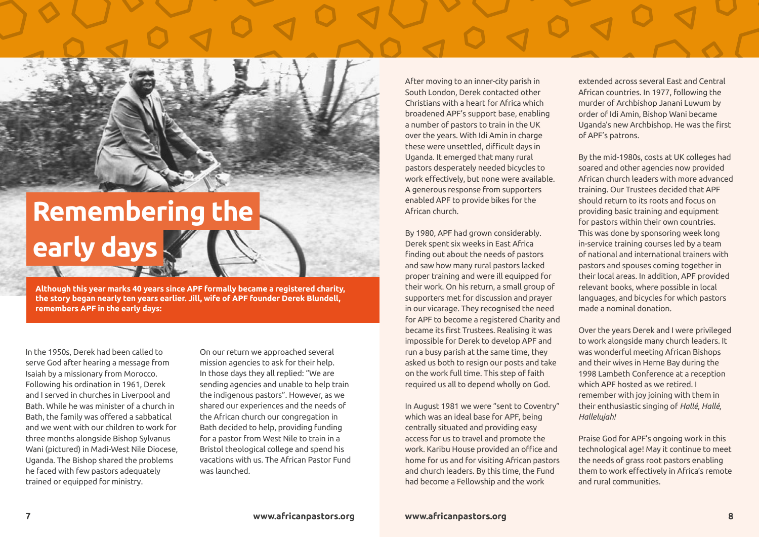## **Remembering the early days**

**Although this year marks 40 years since APF formally became a registered charity, the story began nearly ten years earlier. Jill, wife of APF founder Derek Blundell, remembers APF in the early days:** 

In the 1950s, Derek had been called to serve God after hearing a message from Isaiah by a missionary from Morocco. Following his ordination in 1961, Derek and I served in churches in Liverpool and Bath. While he was minister of a church in Bath, the family was offered a sabbatical and we went with our children to work for three months alongside Bishop Sylvanus Wani (pictured) in Madi-West Nile Diocese, Uganda. The Bishop shared the problems he faced with few pastors adequately trained or equipped for ministry.

On our return we approached several mission agencies to ask for their help. In those days they all replied: "We are sending agencies and unable to help train the indigenous pastors". However, as we shared our experiences and the needs of the African church our congregation in Bath decided to help, providing funding for a pastor from West Nile to train in a Bristol theological college and spend his vacations with us. The African Pastor Fund was launched.

After moving to an inner-city parish in South London, Derek contacted other Christians with a heart for Africa which broadened APF's support base, enabling a number of pastors to train in the UK over the years. With Idi Amin in charge these were unsettled, difficult days in Uganda. It emerged that many rural pastors desperately needed bicycles to work effectively, but none were available. A generous response from supporters enabled APF to provide bikes for the African church.

By 1980, APF had grown considerably. Derek spent six weeks in East Africa finding out about the needs of pastors and saw how many rural pastors lacked proper training and were ill equipped for their work. On his return, a small group of supporters met for discussion and prayer in our vicarage. They recognised the need for APF to become a registered Charity and became its first Trustees. Realising it was impossible for Derek to develop APF and run a busy parish at the same time, they asked us both to resign our posts and take on the work full time. This step of faith required us all to depend wholly on God.

In August 1981 we were "sent to Coventry" which was an ideal base for APF, being centrally situated and providing easy access for us to travel and promote the work. Karibu House provided an office and home for us and for visiting African pastors and church leaders. By this time, the Fund had become a Fellowship and the work

extended across several East and Central African countries. In 1977, following the murder of Archbishop Janani Luwum by order of Idi Amin, Bishop Wani became Uganda's new Archbishop. He was the first of APF's patrons.

By the mid-1980s, costs at UK colleges had soared and other agencies now provided African church leaders with more advanced training. Our Trustees decided that APF should return to its roots and focus on providing basic training and equipment for pastors within their own countries. This was done by sponsoring week long in-service training courses led by a team of national and international trainers with pastors and spouses coming together in their local areas. In addition, APF provided relevant books, where possible in local languages, and bicycles for which pastors made a nominal donation.

Over the years Derek and I were privileged to work alongside many church leaders. It was wonderful meeting African Bishops and their wives in Herne Bay during the 1998 Lambeth Conference at a reception which APF hosted as we retired. I remember with joy joining with them in their enthusiastic singing of *Hallé, Hallé, Hallelujah!*

Praise God for APF's ongoing work in this technological age! May it continue to meet the needs of grass root pastors enabling them to work effectively in Africa's remote and rural communities.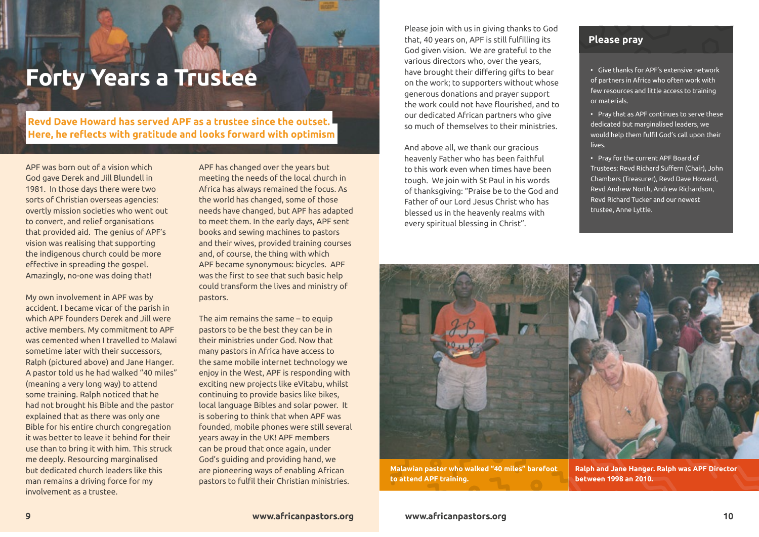## **Forty Years a Trustee**

 **Revd Dave Howard has served APF as a trustee since the outset. Here, he reflects with gratitude and looks forward with optimism** 

APF was born out of a vision which God gave Derek and Jill Blundell in 1981. In those days there were two sorts of Christian overseas agencies: overtly mission societies who went out to convert, and relief organisations that provided aid. The genius of APF's vision was realising that supporting the indigenous church could be more effective in spreading the gospel. Amazingly, no-one was doing that!

My own involvement in APF was by accident. I became vicar of the parish in which APF founders Derek and Jill were active members. My commitment to APF was cemented when I travelled to Malawi sometime later with their successors, Ralph (pictured above) and Jane Hanger. A pastor told us he had walked "40 miles" (meaning a very long way) to attend some training. Ralph noticed that he had not brought his Bible and the pastor explained that as there was only one Bible for his entire church congregation it was better to leave it behind for their use than to bring it with him. This struck me deeply. Resourcing marginalised but dedicated church leaders like this man remains a driving force for my involvement as a trustee.

APF has changed over the years but meeting the needs of the local church in Africa has always remained the focus. As the world has changed, some of those needs have changed, but APF has adapted to meet them. In the early days, APF sent books and sewing machines to pastors and their wives, provided training courses and, of course, the thing with which APF became synonymous: bicycles. APF was the first to see that such basic help could transform the lives and ministry of pastors.

The aim remains the same – to equip pastors to be the best they can be in their ministries under God. Now that many pastors in Africa have access to the same mobile internet technology we enjoy in the West, APF is responding with exciting new projects like eVitabu, whilst continuing to provide basics like bikes, local language Bibles and solar power. It is sobering to think that when APF was founded, mobile phones were still several years away in the UK! APF members can be proud that once again, under God's guiding and providing hand, we are pioneering ways of enabling African pastors to fulfil their Christian ministries.

Please join with us in giving thanks to God that, 40 years on, APF is still fulfilling its God given vision. We are grateful to the various directors who, over the years, have brought their differing gifts to bear on the work; to supporters without whose generous donations and prayer support the work could not have flourished, and to our dedicated African partners who give so much of themselves to their ministries.

And above all, we thank our gracious heavenly Father who has been faithful to this work even when times have been tough. We join with St Paul in his words of thanksgiving: "Praise be to the God and Father of our Lord Jesus Christ who has blessed us in the heavenly realms with every spiritual blessing in Christ".

### **Please pray**

• Give thanks for APF's extensive network of partners in Africa who often work with few resources and little access to training or materials.

• Pray that as APF continues to serve these dedicated but marginalised leaders, we would help them fulfil God's call upon their lives.

• Pray for the current APF Board of Trustees: Revd Richard Suffern (Chair), John Chambers (Treasurer), Revd Dave Howard, Revd Andrew North, Andrew Richardson, Revd Richard Tucker and our newest trustee, Anne Lyttle.



**Malawian pastor who walked "40 miles" barefoot to attend APF training.**

**Ralph and Jane Hanger. Ralph was APF Director between 1998 an 2010.**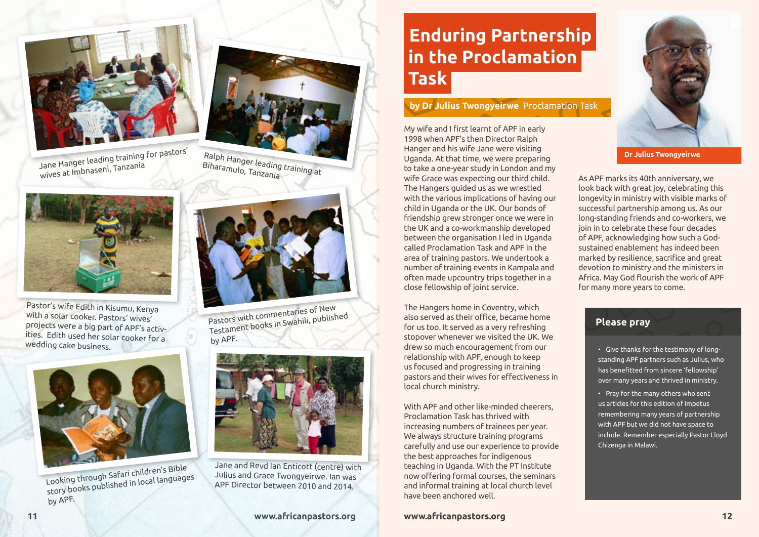

Jane Hanger leading training for pastors'<br>wives at Imbnaseni, Tanzania



Pastor's wife Edith in Kisumu, Kenya with a solar cooker. Pastors' wives' projects were a big part of APF's activities. Edith used her solar cooker for a wedding cake business.



Looking through Safari children's Bible story books published in local languages by APF.



Ralph Hanger leading training at Biharamulo, Tanzania



Pastors with commentaries of New Testament books in Swahili, published by APF.



Jane and Revd Ian Enticott (centre) with Julius and Grace Twongyeirwe. Ian was APF Director between 2010 and 2014.

### **11 www.africanpastors.org**

### **Enduring Partnership in the Proclamation Task**

### **by Dr Julius Twongyeirwe** Proclamation Task

My wife and I first learnt of APF in early 1998 when APF's then Director Ralph Hanger and his wife Jane were visiting Uganda. At that time, we were preparing to take a one-year study in London and my wife Grace was expecting our third child. The Hangers guided us as we wrestled with the various implications of having our child in Uganda or the UK. Our bonds of friendship grew stronger once we were in the UK and a co-workmanship developed between the organisation I led in Uganda called Proclamation Task and APF in the area of training pastors. We undertook a number of training events in Kampala and often made upcountry trips together in a close fellowship of joint service.

The Hangers home in Coventry, which also served as their office, became home for us too. It served as a very refreshing stopover whenever we visited the UK. We drew so much encouragement from our relationship with APF, enough to keep us focused and progressing in training pastors and their wives for effectiveness in local church ministry.

With APF and other like-minded cheerers, Proclamation Task has thrived with increasing numbers of trainees per year. We always structure training programs carefully and use our experience to provide the best approaches for indigenous teaching in Uganda. With the PT Institute now offering formal courses, the seminars and informal training at local church level have been anchored well.

### **www.africanpastors.org 12**



**Dr Julius Twongyeirwe**

As APF marks its 40th anniversary, we look back with great joy, celebrating this longevity in ministry with visible marks of successful partnership among us. As our long-standing friends and co-workers, we join in to celebrate these four decades of APF, acknowledging how such a Godsustained enablement has indeed been marked by resilience, sacrifice and great devotion to ministry and the ministers in Africa. May God flourish the work of APF for many more years to come.

### **Please pray**

• Give thanks for the testimony of longstanding APF partners such as Julius, who has benefitted from sincere 'fellowship' over many years and thrived in ministry.

• Pray for the many others who sent us articles for this edition of Impetus remembering many years of partnership with APF but we did not have space to include. Remember especially Pastor Lloyd Chizenga in Malawi.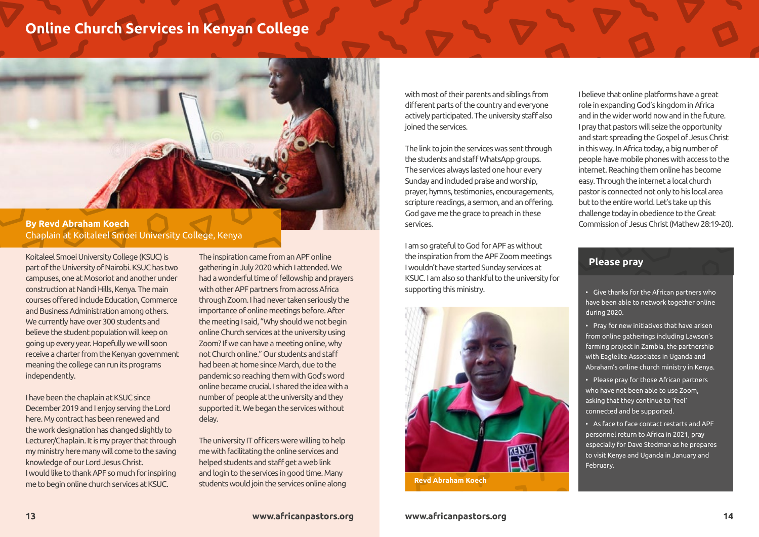### **Online Church Services in Kenyan College**



Chaplain at Koitaleel Smoei University College, Kenya

Koitaleel Smoei University College (KSUC) is part of the University of Nairobi. KSUC has two campuses, one at Mosoriot and another under construction at Nandi Hills, Kenya. The main courses offered include Education, Commerce and Business Administration among others. We currently have over 300 students and believe the student population will keep on going up every year. Hopefully we will soon receive a charter from the Kenyan government meaning the college can run its programs independently.

I have been the chaplain at KSUC since December 2019 and I enjoy serving the Lord here. My contract has been renewed and the work designation has changed slightly to Lecturer/Chaplain. It is my prayer that through my ministry here many will come to the saving knowledge of our Lord Jesus Christ. I would like to thank APF so much for inspiring me to begin online church services at KSUC.

The inspiration came from an APF online gathering in July 2020 which I attended. We had a wonderful time of fellowship and prayers with other APF partners from across Africa through Zoom. I had never taken seriously the importance of online meetings before. After the meeting I said, "Why should we not begin online Church services at the university using Zoom? If we can have a meeting online, why not Church online." Our students and staff had been at home since March, due to the pandemic so reaching them with God's word online became crucial. I shared the idea with a number of people at the university and they supported it. We began the services without delay.

The university IT officers were willing to help me with facilitating the online services and helped students and staff get a web link and login to the services in good time. Many students would join the services online along with most of their parents and siblings from different parts of the country and everyone actively participated. The university staff also joined the services.

The link to join the services was sent through the students and staff WhatsApp groups. The services always lasted one hour every Sunday and included praise and worship, prayer, hymns, testimonies, encouragements, scripture readings, a sermon, and an offering. God gave me the grace to preach in these services.

I am so grateful to God for APF as without the inspiration from the APF Zoom meetings I wouldn't have started Sunday services at KSUC. I am also so thankful to the university for supporting this ministry.



I believe that online platforms have a great role in expanding God's kingdom in Africa and in the wider world now and in the future. I pray that pastors will seize the opportunity and start spreading the Gospel of Jesus Christ in this way. In Africa today, a big number of people have mobile phones with access to the internet. Reaching them online has become easy. Through the internet a local church pastor is connected not only to his local area but to the entire world. Let's take up this challenge today in obedience to the Great Commission of Jesus Christ (Mathew 28:19-20).

### **Please pray**

• Give thanks for the African partners who have been able to network together online during 2020.

• Pray for new initiatives that have arisen from online gatherings including Lawson's farming project in Zambia, the partnership with Eaglelite Associates in Uganda and Abraham's online church ministry in Kenya.

• Please pray for those African partners who have not been able to use Zoom, asking that they continue to 'feel' connected and be supported.

• As face to face contact restarts and APF personnel return to Africa in 2021, pray especially for Dave Stedman as he prepares to visit Kenya and Uganda in January and February.

### **13 www.africanpastors.org www.africanpastors.org 14**